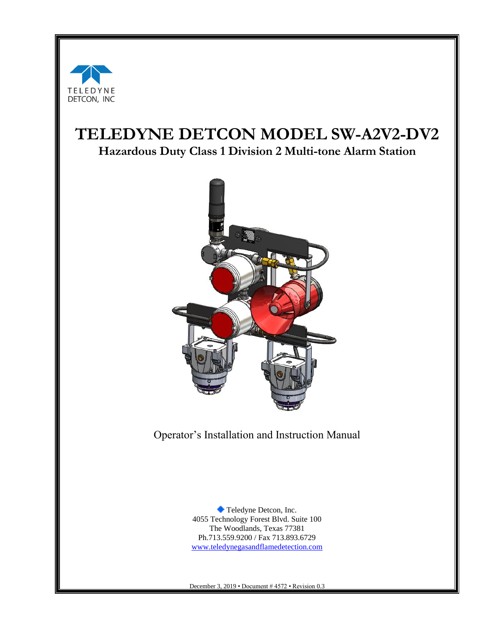

# **TELEDYNE DETCON MODEL SW-A2V2-DV2**

**Hazardous Duty Class 1 Division 2 Multi-tone Alarm Station**



Operator's Installation and Instruction Manual

Teledyne Detcon, Inc. 4055 Technology Forest Blvd. Suite 100 The Woodlands, Texas 77381 Ph.713.559.9200 / Fax 713.893.6729 [www.teledynegasandflamedetection.com](http://www.teledynegasandflamedetection.com/) 

December 3, 2019 • Document # 4572 • Revision 0.3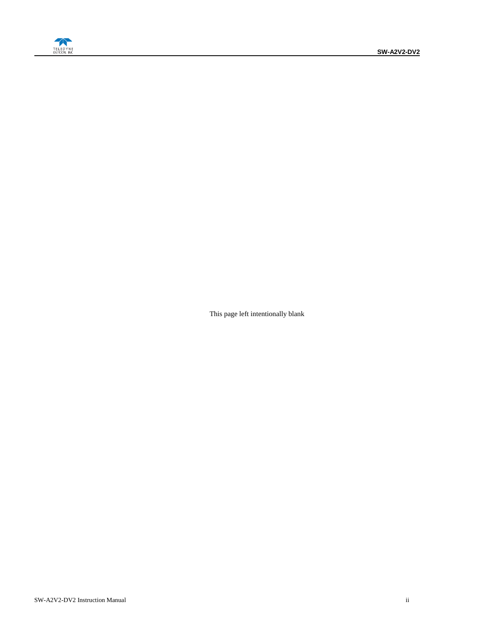

This page left intentionally blank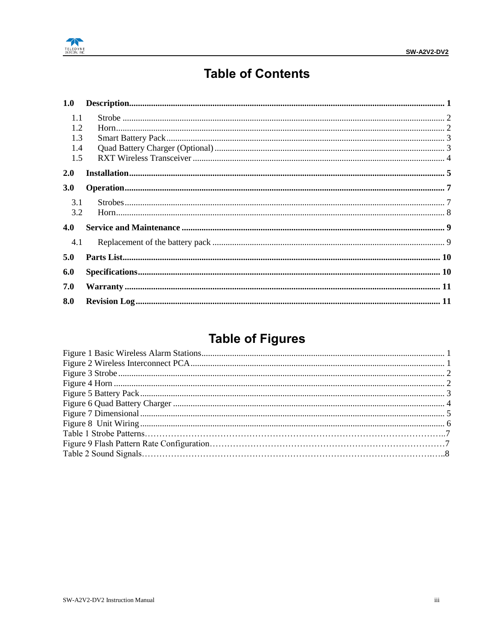



### **Table of Contents**

| 1.0 |  |
|-----|--|
| 1.1 |  |
| 1.2 |  |
| 1.3 |  |
| 1.4 |  |
| 1.5 |  |
| 2.0 |  |
| 3.0 |  |
| 3.1 |  |
| 3.2 |  |
| 4.0 |  |
| 4.1 |  |
| 5.0 |  |
| 6.0 |  |
| 7.0 |  |
| 8.0 |  |

### **Table of Figures**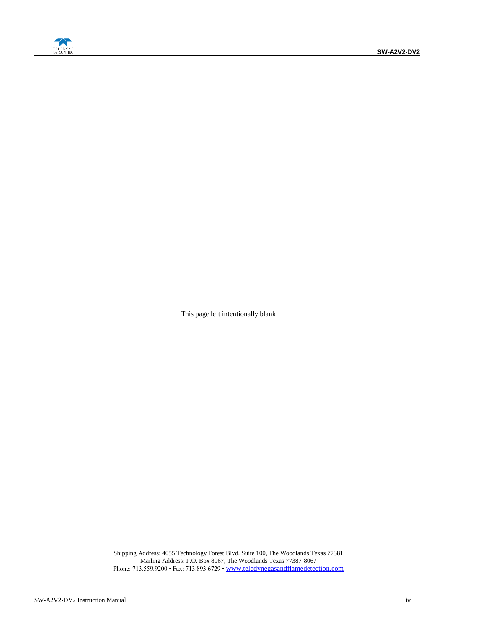

This page left intentionally blank

Shipping Address: 4055 Technology Forest Blvd. Suite 100, The Woodlands Texas 77381 Mailing Address: P.O. Box 8067, The Woodlands Texas 77387-8067 Phone: 713.559.9200 • Fax: 713.893.6729 • [www.teledynegasandflamedetection.com](http://www.teledynegasandflamedetection.com/)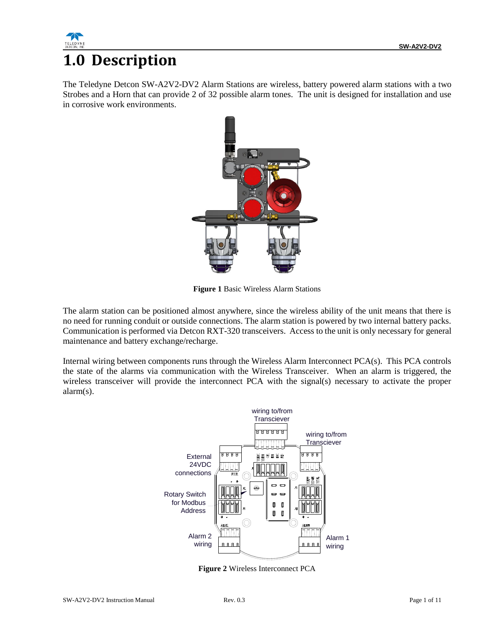

### <span id="page-4-0"></span>**1.0 Description**

The Teledyne Detcon SW-A2V2-DV2 Alarm Stations are wireless, battery powered alarm stations with a two Strobes and a Horn that can provide 2 of 32 possible alarm tones. The unit is designed for installation and use in corrosive work environments.



**Figure 1** Basic Wireless Alarm Stations

<span id="page-4-1"></span>The alarm station can be positioned almost anywhere, since the wireless ability of the unit means that there is no need for running conduit or outside connections. The alarm station is powered by two internal battery packs. Communication is performed via Detcon RXT-320 transceivers. Access to the unit is only necessary for general maintenance and battery exchange/recharge.

Internal wiring between components runs through the Wireless Alarm Interconnect PCA(s). This PCA controls the state of the alarms via communication with the Wireless Transceiver. When an alarm is triggered, the wireless transceiver will provide the interconnect PCA with the signal(s) necessary to activate the proper alarm(s).



<span id="page-4-2"></span>**Figure 2** Wireless Interconnect PCA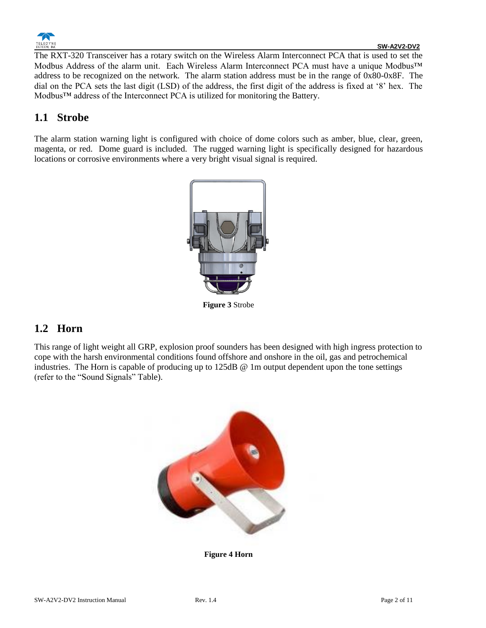

The RXT-320 Transceiver has a rotary switch on the Wireless Alarm Interconnect PCA that is used to set the Modbus Address of the alarm unit. Each Wireless Alarm Interconnect PCA must have a unique Modbus™ address to be recognized on the network. The alarm station address must be in the range of 0x80-0x8F. The dial on the PCA sets the last digit (LSD) of the address, the first digit of the address is fixed at '8' hex. The Modbus™ address of the Interconnect PCA is utilized for monitoring the Battery.

#### <span id="page-5-0"></span>**1.1 Strobe**

The alarm station warning light is configured with choice of dome colors such as amber, blue, clear, green, magenta, or red. Dome guard is included. The rugged warning light is specifically designed for hazardous locations or corrosive environments where a very bright visual signal is required.



**Figure 3** Strobe

### <span id="page-5-2"></span><span id="page-5-1"></span>**1.2 Horn**

This range of light weight all GRP, explosion proof sounders has been designed with high ingress protection to cope with the harsh environmental conditions found offshore and onshore in the oil, gas and petrochemical industries. The Horn is capable of producing up to  $125dB \tQ$  1m output dependent upon the tone settings (refer to the "Sound Signals" Table).

<span id="page-5-3"></span>

**Figure 4 Horn**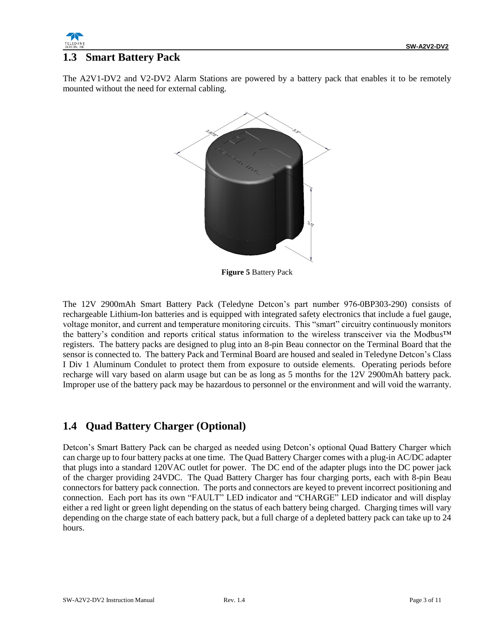

#### <span id="page-6-0"></span>**1.3 Smart Battery Pack**

The A2V1-DV2 and V2-DV2 Alarm Stations are powered by a battery pack that enables it to be remotely mounted without the need for external cabling.



**Figure 5** Battery Pack

<span id="page-6-2"></span>The 12V 2900mAh Smart Battery Pack (Teledyne Detcon's part number 976-0BP303-290) consists of rechargeable Lithium-Ion batteries and is equipped with integrated safety electronics that include a fuel gauge, voltage monitor, and current and temperature monitoring circuits. This "smart" circuitry continuously monitors the battery's condition and reports critical status information to the wireless transceiver via the Modbus™ registers. The battery packs are designed to plug into an 8-pin Beau connector on the Terminal Board that the sensor is connected to. The battery Pack and Terminal Board are housed and sealed in Teledyne Detcon's Class I Div 1 Aluminum Condulet to protect them from exposure to outside elements. Operating periods before recharge will vary based on alarm usage but can be as long as 5 months for the 12V 2900mAh battery pack. Improper use of the battery pack may be hazardous to personnel or the environment and will void the warranty.

#### <span id="page-6-1"></span>**1.4 Quad Battery Charger (Optional)**

Detcon's Smart Battery Pack can be charged as needed using Detcon's optional Quad Battery Charger which can charge up to four battery packs at one time. The Quad Battery Charger comes with a plug-in AC/DC adapter that plugs into a standard 120VAC outlet for power. The DC end of the adapter plugs into the DC power jack of the charger providing 24VDC. The Quad Battery Charger has four charging ports, each with 8-pin Beau connectors for battery pack connection. The ports and connectors are keyed to prevent incorrect positioning and connection. Each port has its own "FAULT" LED indicator and "CHARGE" LED indicator and will display either a red light or green light depending on the status of each battery being charged. Charging times will vary depending on the charge state of each battery pack, but a full charge of a depleted battery pack can take up to 24 hours.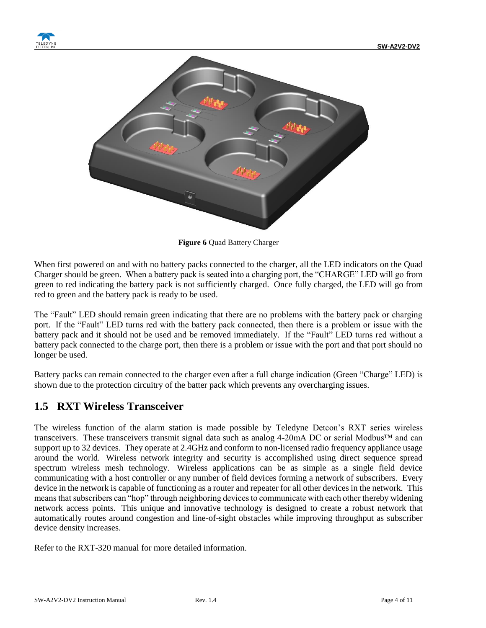



**Figure 6** Quad Battery Charger

<span id="page-7-1"></span>When first powered on and with no battery packs connected to the charger, all the LED indicators on the Quad Charger should be green. When a battery pack is seated into a charging port, the "CHARGE" LED will go from green to red indicating the battery pack is not sufficiently charged. Once fully charged, the LED will go from red to green and the battery pack is ready to be used.

The "Fault" LED should remain green indicating that there are no problems with the battery pack or charging port. If the "Fault" LED turns red with the battery pack connected, then there is a problem or issue with the battery pack and it should not be used and be removed immediately. If the "Fault" LED turns red without a battery pack connected to the charge port, then there is a problem or issue with the port and that port should no longer be used.

Battery packs can remain connected to the charger even after a full charge indication (Green "Charge" LED) is shown due to the protection circuitry of the batter pack which prevents any overcharging issues.

#### <span id="page-7-0"></span>**1.5 RXT Wireless Transceiver**

The wireless function of the alarm station is made possible by Teledyne Detcon's RXT series wireless transceivers. These transceivers transmit signal data such as analog 4-20mA DC or serial Modbus™ and can support up to 32 devices. They operate at 2.4GHz and conform to non-licensed radio frequency appliance usage around the world. Wireless network integrity and security is accomplished using direct sequence spread spectrum wireless mesh technology. Wireless applications can be as simple as a single field device communicating with a host controller or any number of field devices forming a network of subscribers. Every device in the network is capable of functioning as a router and repeater for all other devices in the network. This means that subscribers can "hop" through neighboring devices to communicate with each other thereby widening network access points. This unique and innovative technology is designed to create a robust network that automatically routes around congestion and line-of-sight obstacles while improving throughput as subscriber device density increases.

Refer to the RXT-320 manual for more detailed information.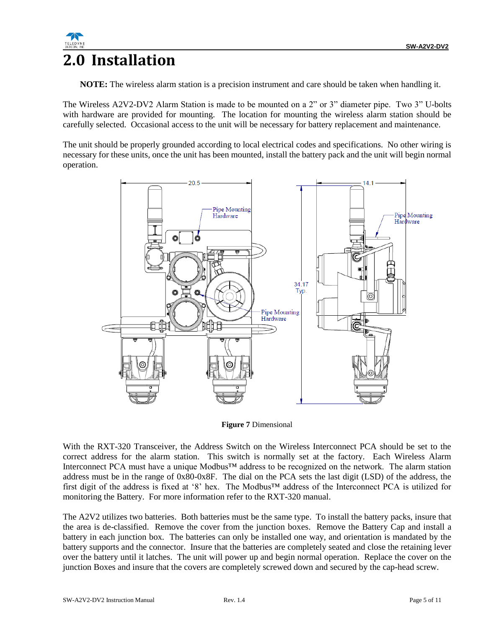

### <span id="page-8-0"></span>**2.0 Installation**

**NOTE:** The wireless alarm station is a precision instrument and care should be taken when handling it.

The Wireless A2V2-DV2 Alarm Station is made to be mounted on a 2" or 3" diameter pipe. Two 3" U-bolts with hardware are provided for mounting. The location for mounting the wireless alarm station should be carefully selected. Occasional access to the unit will be necessary for battery replacement and maintenance.

The unit should be properly grounded according to local electrical codes and specifications. No other wiring is necessary for these units, once the unit has been mounted, install the battery pack and the unit will begin normal operation.



**Figure 7** Dimensional

<span id="page-8-1"></span>With the RXT-320 Transceiver, the Address Switch on the Wireless Interconnect PCA should be set to the correct address for the alarm station. This switch is normally set at the factory. Each Wireless Alarm Interconnect PCA must have a unique Modbus™ address to be recognized on the network. The alarm station address must be in the range of 0x80-0x8F. The dial on the PCA sets the last digit (LSD) of the address, the first digit of the address is fixed at '8' hex. The Modbus™ address of the Interconnect PCA is utilized for monitoring the Battery. For more information refer to the RXT-320 manual.

The A2V2 utilizes two batteries. Both batteries must be the same type. To install the battery packs, insure that the area is de-classified. Remove the cover from the junction boxes. Remove the Battery Cap and install a battery in each junction box. The batteries can only be installed one way, and orientation is mandated by the battery supports and the connector. Insure that the batteries are completely seated and close the retaining lever over the battery until it latches. The unit will power up and begin normal operation. Replace the cover on the junction Boxes and insure that the covers are completely screwed down and secured by the cap-head screw.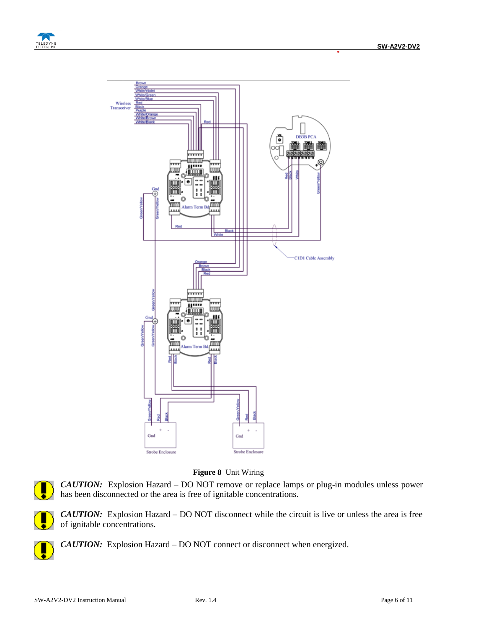



**Figure 8** Unit Wiring

<span id="page-9-0"></span>

*CAUTION:* Explosion Hazard – DO NOT remove or replace lamps or plug-in modules unless power has been disconnected or the area is free of ignitable concentrations.



*CAUTION:* Explosion Hazard – DO NOT disconnect while the circuit is live or unless the area is free of ignitable concentrations.



*CAUTION:* Explosion Hazard – DO NOT connect or disconnect when energized.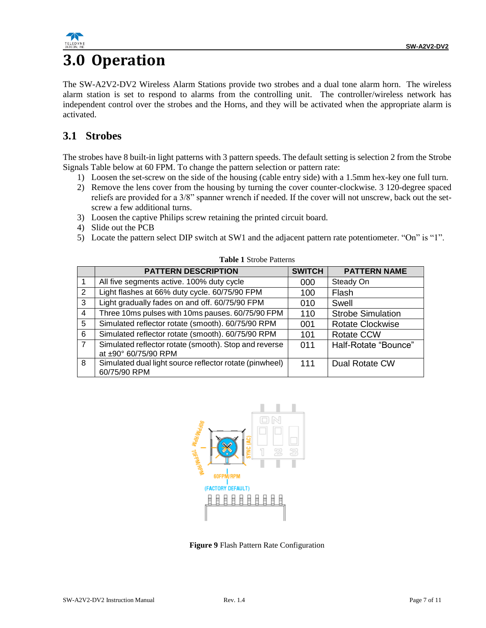

### <span id="page-10-0"></span>**3.0 Operation**

The SW-A2V2-DV2 Wireless Alarm Stations provide two strobes and a dual tone alarm horn. The wireless alarm station is set to respond to alarms from the controlling unit. The controller/wireless network has independent control over the strobes and the Horns, and they will be activated when the appropriate alarm is activated.

### <span id="page-10-1"></span>**3.1 Strobes**

The strobes have 8 built-in light patterns with 3 pattern speeds. The default setting is selection 2 from the Strobe Signals Table below at 60 FPM. To change the pattern selection or pattern rate:

- 1) Loosen the set-screw on the side of the housing (cable entry side) with a 1.5mm hex-key one full turn.
- 2) Remove the lens cover from the housing by turning the cover counter-clockwise. 3 120-degree spaced reliefs are provided for a 3/8" spanner wrench if needed. If the cover will not unscrew, back out the setscrew a few additional turns.
- 3) Loosen the captive Philips screw retaining the printed circuit board.
- 4) Slide out the PCB
- 5) Locate the pattern select DIP switch at SW1 and the adjacent pattern rate potentiometer. "On" is "1".

**Table 1** Strobe Patterns

|                | <b>PATTERN DESCRIPTION</b>                              | <b>SWITCH</b> | <b>PATTERN NAME</b>      |
|----------------|---------------------------------------------------------|---------------|--------------------------|
|                | All five segments active. 100% duty cycle               | 000           | Steady On                |
| 2              | Light flashes at 66% duty cycle. 60/75/90 FPM           | 100           | Flash                    |
| 3              | Light gradually fades on and off. 60/75/90 FPM          | 010           | Swell                    |
| $\overline{4}$ | Three 10ms pulses with 10ms pauses. 60/75/90 FPM        | 110           | <b>Strobe Simulation</b> |
| 5              | Simulated reflector rotate (smooth). 60/75/90 RPM       | 001           | <b>Rotate Clockwise</b>  |
| 6              | Simulated reflector rotate (smooth). 60/75/90 RPM       | 101           | <b>Rotate CCW</b>        |
| $\overline{7}$ | Simulated reflector rotate (smooth). Stop and reverse   | 011           | Half-Rotate "Bounce"     |
|                | at ±90° 60/75/90 RPM                                    |               |                          |
| 8              | Simulated dual light source reflector rotate (pinwheel) | 111           | Dual Rotate CW           |
|                | 60/75/90 RPM                                            |               |                          |



**Figure 9** Flash Pattern Rate Configuration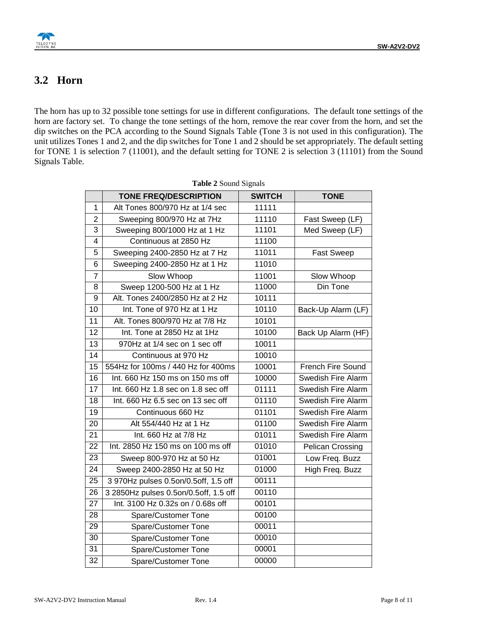#### <span id="page-11-0"></span>**3.2 Horn**

The horn has up to 32 possible tone settings for use in different configurations. The default tone settings of the horn are factory set. To change the tone settings of the horn, remove the rear cover from the horn, and set the dip switches on the PCA according to the Sound Signals Table (Tone 3 is not used in this configuration). The unit utilizes Tones 1 and 2, and the dip switches for Tone 1 and 2 should be set appropriately. The default setting for TONE 1 is selection 7 (11001), and the default setting for TONE 2 is selection 3 (11101) from the Sound Signals Table.

|                 | <b>Lable</b> $\mu$ bound bignals      |               |                         |  |  |  |
|-----------------|---------------------------------------|---------------|-------------------------|--|--|--|
|                 | <b>TONE FREQ/DESCRIPTION</b>          | <b>SWITCH</b> | <b>TONE</b>             |  |  |  |
| $\mathbf{1}$    | Alt Tones 800/970 Hz at 1/4 sec       | 11111         |                         |  |  |  |
| $\overline{2}$  | Sweeping 800/970 Hz at 7Hz            | 11110         | Fast Sweep (LF)         |  |  |  |
| 3               | Sweeping 800/1000 Hz at 1 Hz          | 11101         | Med Sweep (LF)          |  |  |  |
| $\overline{4}$  | Continuous at 2850 Hz                 | 11100         |                         |  |  |  |
| 5               | Sweeping 2400-2850 Hz at 7 Hz         | 11011         | <b>Fast Sweep</b>       |  |  |  |
| 6               | Sweeping 2400-2850 Hz at 1 Hz         | 11010         |                         |  |  |  |
| $\overline{7}$  | Slow Whoop                            | 11001         | Slow Whoop              |  |  |  |
| 8               | Sweep 1200-500 Hz at 1 Hz             | 11000         | Din Tone                |  |  |  |
| 9               | Alt. Tones 2400/2850 Hz at 2 Hz       | 10111         |                         |  |  |  |
| 10              | Int. Tone of 970 Hz at 1 Hz           | 10110         | Back-Up Alarm (LF)      |  |  |  |
| 11              | Alt. Tones 800/970 Hz at 7/8 Hz       | 10101         |                         |  |  |  |
| 12              | Int. Tone at 2850 Hz at 1Hz           | 10100         | Back Up Alarm (HF)      |  |  |  |
| 13              | 970Hz at 1/4 sec on 1 sec off         | 10011         |                         |  |  |  |
| 14              | Continuous at 970 Hz                  | 10010         |                         |  |  |  |
| 15              | 554Hz for 100ms / 440 Hz for 400ms    | 10001         | French Fire Sound       |  |  |  |
| 16              | Int. 660 Hz 150 ms on 150 ms off      | 10000         | Swedish Fire Alarm      |  |  |  |
| 17              | Int. 660 Hz 1.8 sec on 1.8 sec off    | 01111         | Swedish Fire Alarm      |  |  |  |
| 18              | Int. 660 Hz 6.5 sec on 13 sec off     | 01110         | Swedish Fire Alarm      |  |  |  |
| 19              | Continuous 660 Hz                     | 01101         | Swedish Fire Alarm      |  |  |  |
| 20              | Alt 554/440 Hz at 1 Hz                | 01100         | Swedish Fire Alarm      |  |  |  |
| 21              | Int. 660 Hz at 7/8 Hz                 | 01011         | Swedish Fire Alarm      |  |  |  |
| 22              | Int. 2850 Hz 150 ms on 100 ms off     | 01010         | <b>Pelican Crossing</b> |  |  |  |
| 23              | Sweep 800-970 Hz at 50 Hz             | 01001         | Low Freq. Buzz          |  |  |  |
| 24              | Sweep 2400-2850 Hz at 50 Hz           | 01000         | High Freq. Buzz         |  |  |  |
| $\overline{25}$ | 3 970Hz pulses 0.5on/0.5off, 1.5 off  | 00111         |                         |  |  |  |
| 26              | 3 2850Hz pulses 0.5on/0.5off, 1.5 off | 00110         |                         |  |  |  |
| 27              | Int. 3100 Hz 0.32s on / 0.68s off     | 00101         |                         |  |  |  |
| 28              | Spare/Customer Tone                   | 00100         |                         |  |  |  |
| $\overline{29}$ | Spare/Customer Tone                   | 00011         |                         |  |  |  |
| 30              | Spare/Customer Tone                   | 00010         |                         |  |  |  |
| 31              | Spare/Customer Tone                   | 00001         |                         |  |  |  |
| 32              | Spare/Customer Tone                   | 00000         |                         |  |  |  |

**Table 2** Sound Signals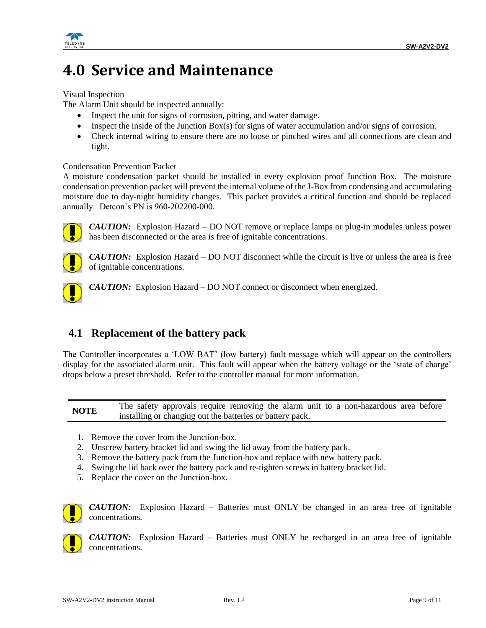

### <span id="page-12-0"></span>**4.0 Service and Maintenance**

Visual Inspection

The Alarm Unit should be inspected annually:

- Inspect the unit for signs of corrosion, pitting, and water damage.
- Inspect the inside of the Junction  $Box(s)$  for signs of water accumulation and/or signs of corrosion.
- Check internal wiring to ensure there are no loose or pinched wires and all connections are clean and tight.

#### Condensation Prevention Packet

A moisture condensation packet should be installed in every explosion proof Junction Box. The moisture condensation prevention packet will prevent the internal volume of the J-Box from condensing and accumulating moisture due to day-night humidity changes. This packet provides a critical function and should be replaced annually. Detcon's PN is 960-202200-000.



*CAUTION:* Explosion Hazard – DO NOT remove or replace lamps or plug-in modules unless power has been disconnected or the area is free of ignitable concentrations.



*CAUTION:* Explosion Hazard – DO NOT disconnect while the circuit is live or unless the area is free of ignitable concentrations.



*CAUTION:* Explosion Hazard – DO NOT connect or disconnect when energized.

#### <span id="page-12-1"></span>**4.1 Replacement of the battery pack**

The Controller incorporates a 'LOW BAT' (low battery) fault message which will appear on the controllers display for the associated alarm unit. This fault will appear when the battery voltage or the 'state of charge' drops below a preset threshold. Refer to the controller manual for more information.

**NOTE** The safety approvals require removing the alarm unit to a non-hazardous area before installing or changing out the batteries or battery pack.

- 1. Remove the cover from the Junction-box.
- 2. Unscrew battery bracket lid and swing the lid away from the battery pack.
- 3. Remove the battery pack from the Junction-box and replace with new battery pack.
- 4. Swing the lid back over the battery pack and re-tighten screws in battery bracket lid.
- 5. Replace the cover on the Junction-box.



*CAUTION:* Explosion Hazard – Batteries must ONLY be changed in an area free of ignitable concentrations.



*CAUTION:* Explosion Hazard – Batteries must ONLY be recharged in an area free of ignitable concentrations.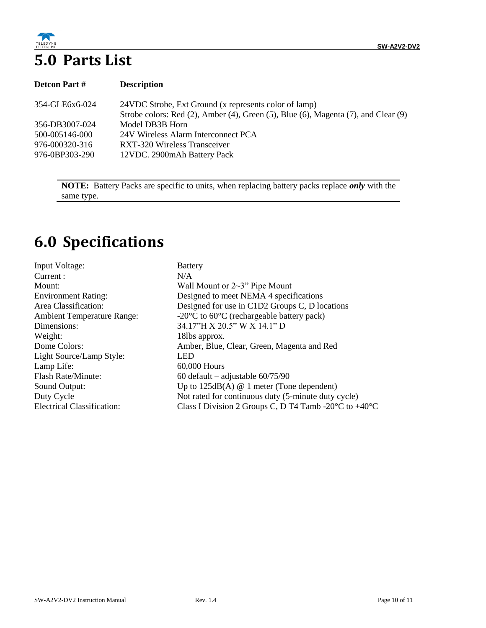

# <span id="page-13-0"></span>**5.0 Parts List**

| <b>Detcon Part #</b> | <b>Description</b>                                                                 |
|----------------------|------------------------------------------------------------------------------------|
| 354-GLE6x6-024       | 24 VDC Strobe, Ext Ground (x represents color of lamp)                             |
|                      | Strobe colors: Red (2), Amber (4), Green (5), Blue (6), Magenta (7), and Clear (9) |
| 356-DB3007-024       | Model DB3B Horn                                                                    |
| 500-005146-000       | 24V Wireless Alarm Interconnect PCA                                                |
| 976-000320-316       | RXT-320 Wireless Transceiver                                                       |
| 976-0BP303-290       | 12VDC. 2900mAh Battery Pack                                                        |
|                      |                                                                                    |

**NOTE:** Battery Packs are specific to units, when replacing battery packs replace *only* with the same type.

## <span id="page-13-1"></span>**6.0 Specifications**

| <b>Input Voltage:</b>             | <b>Battery</b>                                                            |
|-----------------------------------|---------------------------------------------------------------------------|
| Current:                          | N/A                                                                       |
| Mount:                            | Wall Mount or $2\text{--}3$ " Pipe Mount                                  |
| <b>Environment Rating:</b>        | Designed to meet NEMA 4 specifications                                    |
| Area Classification:              | Designed for use in C1D2 Groups C, D locations                            |
| <b>Ambient Temperature Range:</b> | -20 $\rm{^{\circ}C}$ to 60 $\rm{^{\circ}C}$ (rechargeable battery pack)   |
| Dimensions:                       | 34.17"H X 20.5" W X 14.1" D                                               |
| Weight:                           | 181bs approx.                                                             |
| Dome Colors:                      | Amber, Blue, Clear, Green, Magenta and Red                                |
| Light Source/Lamp Style:          | LED.                                                                      |
| Lamp Life:                        | 60,000 Hours                                                              |
| Flash Rate/Minute:                | 60 default – adjustable $60/75/90$                                        |
| Sound Output:                     | Up to $125dB(A)$ @ 1 meter (Tone dependent)                               |
| Duty Cycle                        | Not rated for continuous duty (5-minute duty cycle)                       |
| <b>Electrical Classification:</b> | Class I Division 2 Groups C, D T4 Tamb -20 $\degree$ C to +40 $\degree$ C |